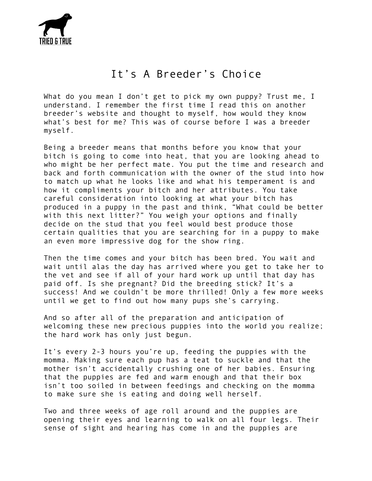

## It's A Breeder's Choice

What do you mean I don't get to pick my own puppy? Trust me, I understand. I remember the first time I read this on another breeder's website and thought to myself, how would they know what's best for me? This was of course before I was a breeder myself.

Being a breeder means that months before you know that your bitch is going to come into heat, that you are looking ahead to who might be her perfect mate. You put the time and research and back and forth communication with the owner of the stud into how to match up what he looks like and what his temperament is and how it compliments your bitch and her attributes. You take careful consideration into looking at what your bitch has produced in a puppy in the past and think, "What could be better with this next litter?" You weigh your options and finally decide on the stud that you feel would best produce those certain qualities that you are searching for in a puppy to make an even more impressive dog for the show ring.

Then the time comes and your bitch has been bred. You wait and wait until alas the day has arrived where you get to take her to the vet and see if all of your hard work up until that day has paid off. Is she pregnant? Did the breeding stick? It's a success! And we couldn't be more thrilled! Only a few more weeks until we get to find out how many pups she's carrying.

And so after all of the preparation and anticipation of welcoming these new precious puppies into the world you realize; the hard work has only just begun.

It's every 2-3 hours you're up, feeding the puppies with the momma. Making sure each pup has a teat to suckle and that the mother isn't accidentally crushing one of her babies. Ensuring that the puppies are fed and warm enough and that their box isn't too soiled in between feedings and checking on the momma to make sure she is eating and doing well herself.

Two and three weeks of age roll around and the puppies are opening their eyes and learning to walk on all four legs. Their sense of sight and hearing has come in and the puppies are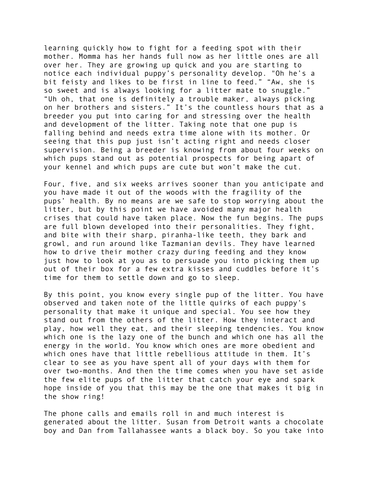learning quickly how to fight for a feeding spot with their mother. Momma has her hands full now as her little ones are all over her. They are growing up quick and you are starting to notice each individual puppy's personality develop. "Oh he's a bit feisty and likes to be first in line to feed." "Aw, she is so sweet and is always looking for a litter mate to snuggle." "Uh oh, that one is definitely a trouble maker, always picking on her brothers and sisters." It's the countless hours that as a breeder you put into caring for and stressing over the health and development of the litter. Taking note that one pup is falling behind and needs extra time alone with its mother. Or seeing that this pup just isn't acting right and needs closer supervision. Being a breeder is knowing from about four weeks on which pups stand out as potential prospects for being apart of your kennel and which pups are cute but won't make the cut.

Four, five, and six weeks arrives sooner than you anticipate and you have made it out of the woods with the fragility of the pups' health. By no means are we safe to stop worrying about the litter, but by this point we have avoided many major health crises that could have taken place. Now the fun begins. The pups are full blown developed into their personalities. They fight, and bite with their sharp, piranha-like teeth, they bark and growl, and run around like Tazmanian devils. They have learned how to drive their mother crazy during feeding and they know just how to look at you as to persuade you into picking them up out of their box for a few extra kisses and cuddles before it's time for them to settle down and go to sleep.

By this point, you know every single pup of the litter. You have observed and taken note of the little quirks of each puppy's personality that make it unique and special. You see how they stand out from the others of the litter. How they interact and play, how well they eat, and their sleeping tendencies. You know which one is the lazy one of the bunch and which one has all the energy in the world. You know which ones are more obedient and which ones have that little rebellious attitude in them. It's clear to see as you have spent all of your days with them for over two-months. And then the time comes when you have set aside the few elite pups of the litter that catch your eye and spark hope inside of you that this may be the one that makes it big in the show ring!

The phone calls and emails roll in and much interest is generated about the litter. Susan from Detroit wants a chocolate boy and Dan from Tallahassee wants a black boy. So you take into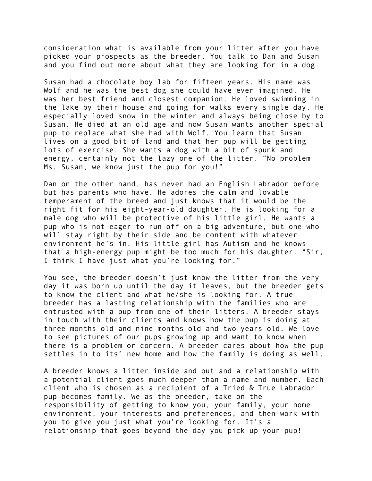consideration what is available from your litter after you have picked your prospects as the breeder. You talk to Dan and Susan and you find out more about what they are looking for in a dog.

Susan had a chocolate boy lab for fifteen years. His name was Wolf and he was the best dog she could have ever imagined. He was her best friend and closest companion. He loved swimming in the lake by their house and going for walks every single day. He especially loved snow in the winter and always being close by to Susan. He died at an old age and now Susan wants another special pup to replace what she had with Wolf. You learn that Susan lives on a good bit of land and that her pup will be getting lots of exercise. She wants a dog with a bit of spunk and energy, certainly not the lazy one of the litter. "No problem Ms. Susan, we know just the pup for you!"

Dan on the other hand, has never had an English Labrador before but has parents who have. He adores the calm and lovable temperament of the breed and just knows that it would be the right fit for his eight-year-old daughter. He is looking for a male dog who will be protective of his little girl. He wants a pup who is not eager to run off on a big adventure, but one who will stay right by their side and be content with whatever environment he's in. His little girl has Autism and he knows that a high-energy pup might be too much for his daughter. "Sir, I think I have just what you're looking for."

You see, the breeder doesn't just know the litter from the very day it was born up until the day it leaves, but the breeder gets to know the client and what he/she is looking for. A true breeder has a lasting relationship with the families who are entrusted with a pup from one of their litters. A breeder stays in touch with their clients and knows how the pup is doing at three months old and nine months old and two years old. We love to see pictures of our pups growing up and want to know when there is a problem or concern. A breeder cares about how the pup settles in to its' new home and how the family is doing as well.

A breeder knows a litter inside and out and a relationship with a potential client goes much deeper than a name and number. Each client who is chosen as a recipient of a Tried & True Labrador pup becomes family. We as the breeder, take on the responsibility of getting to know you, your family, your home environment, your interests and preferences, and then work with you to give you just what you're looking for. It's a relationship that goes beyond the day you pick up your pup!